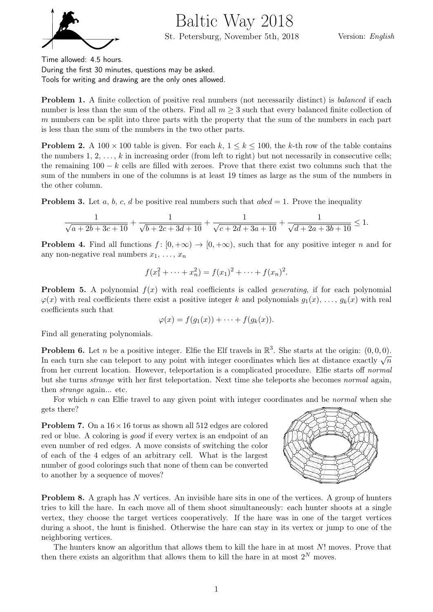

Baltic Way 2018

St. Petersburg, November 5th, 2018

Version: English

Time allowed: 4.5 hours.

During the first 30 minutes, questions may be asked. Tools for writing and drawing are the only ones allowed.

**Problem 1.** A finite collection of positive real numbers (not necessarily distinct) is balanced if each number is less than the sum of the others. Find all  $m \geq 3$  such that every balanced finite collection of m numbers can be split into three parts with the property that the sum of the numbers in each part is less than the sum of the numbers in the two other parts.

**Problem 2.** A 100  $\times$  100 table is given. For each k,  $1 \le k \le 100$ , the k-th row of the table contains the numbers  $1, 2, \ldots, k$  in increasing order (from left to right) but not necessarily in consecutive cells; the remaining  $100 - k$  cells are filled with zeroes. Prove that there exist two columns such that the sum of the numbers in one of the columns is at least 19 times as large as the sum of the numbers in the other column.

**Problem 3.** Let a, b, c, d be positive real numbers such that  $abcd = 1$ . Prove the inequality

$$
\frac{1}{\sqrt{a+2b+3c+10}} + \frac{1}{\sqrt{b+2c+3d+10}} + \frac{1}{\sqrt{c+2d+3a+10}} + \frac{1}{\sqrt{d+2a+3b+10}} \le 1.
$$

**Problem 4.** Find all functions  $f : [0, +\infty) \to [0, +\infty)$ , such that for any positive integer n and for any non-negative real numbers  $x_1, \ldots, x_n$ 

$$
f(x_1^2 + \dots + x_n^2) = f(x_1)^2 + \dots + f(x_n)^2.
$$

**Problem 5.** A polynomial  $f(x)$  with real coefficients is called *generating*, if for each polynomial  $\varphi(x)$  with real coefficients there exist a positive integer k and polynomials  $g_1(x), \ldots, g_k(x)$  with real coefficients such that

$$
\varphi(x) = f(g_1(x)) + \cdots + f(g_k(x)).
$$

Find all generating polynomials.

**Problem 6.** Let *n* be a positive integer. Elfie the Elf travels in  $\mathbb{R}^3$ . She starts at the origin:  $(0,0,0)$ . In each turn she can teleport to any point with integer coordinates which lies at distance exactly  $\sqrt{n}$ from her current location. However, teleportation is a complicated procedure. Elfie starts off normal but she turns strange with her first teleportation. Next time she teleports she becomes normal again, then strange again... etc.

For which n can Elfie travel to any given point with integer coordinates and be *normal* when she gets there?

**Problem 7.** On a  $16 \times 16$  torus as shown all 512 edges are colored red or blue. A coloring is good if every vertex is an endpoint of an even number of red edges. A move consists of switching the color of each of the 4 edges of an arbitrary cell. What is the largest number of good colorings such that none of them can be converted to another by a sequence of moves?



Problem 8. A graph has N vertices. An invisible hare sits in one of the vertices. A group of hunters tries to kill the hare. In each move all of them shoot simultaneously: each hunter shoots at a single vertex, they choose the target vertices cooperatively. If the hare was in one of the target vertices during a shoot, the hunt is finished. Otherwise the hare can stay in its vertex or jump to one of the neighboring vertices.

The hunters know an algorithm that allows them to kill the hare in at most N! moves. Prove that then there exists an algorithm that allows them to kill the hare in at most  $2^N$  moves.